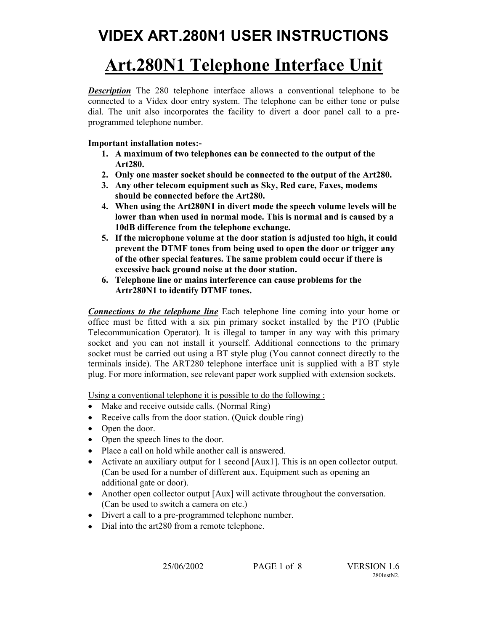# **Art.280N1 Telephone Interface Unit**

*Description* The 280 telephone interface allows a conventional telephone to be connected to a Videx door entry system. The telephone can be either tone or pulse dial. The unit also incorporates the facility to divert a door panel call to a preprogrammed telephone number.

## **Important installation notes:-**

- **1. A maximum of two telephones can be connected to the output of the Art280.**
- **2. Only one master socket should be connected to the output of the Art280.**
- **3. Any other telecom equipment such as Sky, Red care, Faxes, modems should be connected before the Art280.**
- **4. When using the Art280N1 in divert mode the speech volume levels will be lower than when used in normal mode. This is normal and is caused by a 10dB difference from the telephone exchange.**
- **5. If the microphone volume at the door station is adjusted too high, it could prevent the DTMF tones from being used to open the door or trigger any of the other special features. The same problem could occur if there is excessive back ground noise at the door station.**
- **6. Telephone line or mains interference can cause problems for the Artr280N1 to identify DTMF tones.**

*Connections to the telephone line* Each telephone line coming into your home or office must be fitted with a six pin primary socket installed by the PTO (Public Telecommunication Operator). It is illegal to tamper in any way with this primary socket and you can not install it yourself. Additional connections to the primary socket must be carried out using a BT style plug (You cannot connect directly to the terminals inside). The ART280 telephone interface unit is supplied with a BT style plug. For more information, see relevant paper work supplied with extension sockets.

Using a conventional telephone it is possible to do the following :

- Make and receive outside calls. (Normal Ring)
- Receive calls from the door station. (Ouick double ring)
- Open the door.
- Open the speech lines to the door.
- Place a call on hold while another call is answered.
- Activate an auxiliary output for 1 second [Aux1]. This is an open collector output. (Can be used for a number of different aux. Equipment such as opening an additional gate or door).
- Another open collector output [Aux] will activate throughout the conversation. (Can be used to switch a camera on etc.)
- Divert a call to a pre-programmed telephone number.
- Dial into the art280 from a remote telephone.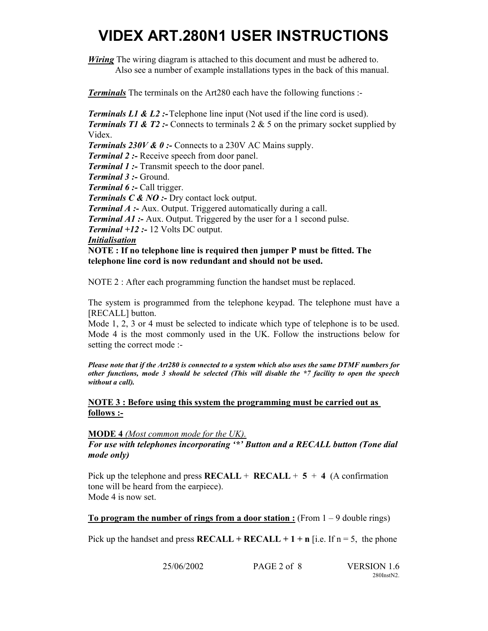*Wiring* The wiring diagram is attached to this document and must be adhered to.

Also see a number of example installations types in the back of this manual.

*Terminals* The terminals on the Art280 each have the following functions :-

*Terminals L1 & L2 :-* Telephone line input (Not used if the line cord is used).

*Terminals T1 & T2 :-* Connects to terminals 2 & 5 on the primary socket supplied by Videx.

*Terminals 230V & 0 :-* Connects to a 230V AC Mains supply.

*Terminal 2 :-* Receive speech from door panel.

*Terminal 1 :-* Transmit speech to the door panel.

*Terminal 3 :-* Ground.

*Terminal 6 :-* Call trigger.

*Terminals C & NO :-* Dry contact lock output.

*Terminal A :-* Aux. Output. Triggered automatically during a call.

*Terminal A1 :-* Aux. Output. Triggered by the user for a 1 second pulse.

*Terminal +12 :-* 12 Volts DC output.

## *Initialisation*

**NOTE : If no telephone line is required then jumper P must be fitted. The telephone line cord is now redundant and should not be used.** 

NOTE 2 : After each programming function the handset must be replaced.

The system is programmed from the telephone keypad. The telephone must have a [RECALL] button.

Mode 1, 2, 3 or 4 must be selected to indicate which type of telephone is to be used. Mode 4 is the most commonly used in the UK. Follow the instructions below for setting the correct mode :-

*Please note that if the Art280 is connected to a system which also uses the same DTMF numbers for other functions, mode 3 should be selected (This will disable the \*7 facility to open the speech without a call).* 

## **NOTE 3 : Before using this system the programming must be carried out as follows :-**

**MODE 4** *(Most common mode for the UK).*

*For use with telephones incorporating '\*' Button and a RECALL button (Tone dial mode only)* 

Pick up the telephone and press  $RECALL + RECALL + 5 + 4$  (A confirmation tone will be heard from the earpiece). Mode 4 is now set.

**To program the number of rings from a door station :** (From  $1 - 9$  double rings)

Pick up the handset and press  $RECALL + RECALL + 1 + n$  [i.e. If  $n = 5$ , the phone

25/06/2002 PAGE 2 of 8 VERSION 1.6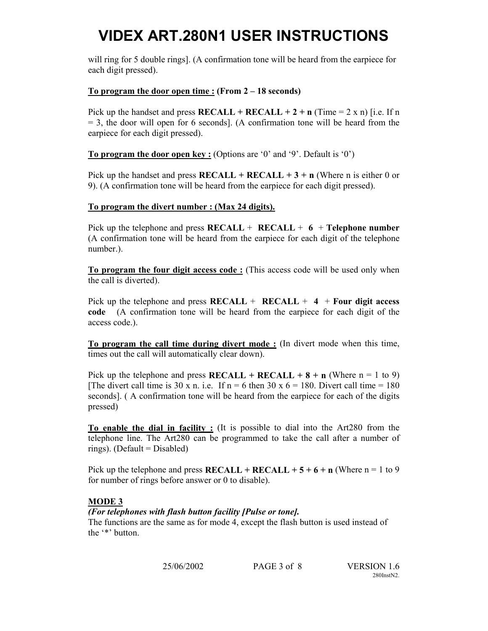will ring for 5 double rings]. (A confirmation tone will be heard from the earpiece for each digit pressed).

## **To program the door open time : (From 2 – 18 seconds)**

Pick up the handset and press  $RECALL + RECALL + 2 + n$  (Time = 2 x n) [i.e. If n  $= 3$ , the door will open for 6 seconds]. (A confirmation tone will be heard from the earpiece for each digit pressed).

**To program the door open key :** (Options are '0' and '9'. Default is '0')

Pick up the handset and press  $RECALL + RECALL + 3 + n$  (Where n is either 0 or 9). (A confirmation tone will be heard from the earpiece for each digit pressed).

## **To program the divert number : (Max 24 digits).**

Pick up the telephone and press  $RECALL + RECALL + 6 + Telephone number$ (A confirmation tone will be heard from the earpiece for each digit of the telephone number.).

**To program the four digit access code :** (This access code will be used only when the call is diverted).

Pick up the telephone and press  $RECALL + RECALL + 4 + Four$  digit access **code** (A confirmation tone will be heard from the earpiece for each digit of the access code.).

**To program the call time during divert mode :** (In divert mode when this time, times out the call will automatically clear down).

Pick up the telephone and press  $RECALL + RECALL + 8 + n$  (Where n = 1 to 9) [The divert call time is 30 x n. i.e. If  $n = 6$  then 30 x  $6 = 180$ . Divert call time = 180 seconds]. ( A confirmation tone will be heard from the earpiece for each of the digits pressed)

**To enable the dial in facility :** (It is possible to dial into the Art280 from the telephone line. The Art280 can be programmed to take the call after a number of rings). (Default = Disabled)

Pick up the telephone and press  $RECALL + RECALL + 5 + 6 + n$  (Where n = 1 to 9 for number of rings before answer or 0 to disable).

# **MODE 3**

## *(For telephones with flash button facility [Pulse or tone].*

The functions are the same as for mode 4, except the flash button is used instead of the '\*' button.

25/06/2002 PAGE 3 of 8 VERSION 1.6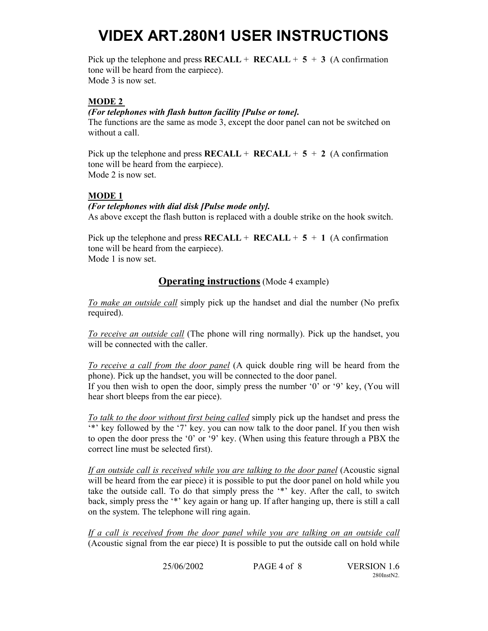Pick up the telephone and press  $RECALL + RECALL + 5 + 3$  (A confirmation tone will be heard from the earpiece). Mode 3 is now set.

### **MODE 2**

### *(For telephones with flash button facility [Pulse or tone].*

The functions are the same as mode 3, except the door panel can not be switched on without a call.

Pick up the telephone and press  $RECALL + RECALL + 5 + 2$  (A confirmation tone will be heard from the earpiece). Mode 2 is now set.

## **MODE 1**

### *(For telephones with dial disk [Pulse mode only].*

As above except the flash button is replaced with a double strike on the hook switch.

Pick up the telephone and press  $RECALL + RECALL + 5 + 1$  (A confirmation tone will be heard from the earpiece). Mode 1 is now set.

## **Operating instructions** (Mode 4 example)

*To make an outside call* simply pick up the handset and dial the number (No prefix required).

*To receive an outside call* (The phone will ring normally). Pick up the handset, you will be connected with the caller.

*To receive a call from the door panel* (A quick double ring will be heard from the phone). Pick up the handset, you will be connected to the door panel.

If you then wish to open the door, simply press the number '0' or '9' key, (You will hear short bleeps from the ear piece).

*To talk to the door without first being called* simply pick up the handset and press the '\*' key followed by the '7' key. you can now talk to the door panel. If you then wish to open the door press the '0' or '9' key. (When using this feature through a PBX the correct line must be selected first).

*If an outside call is received while you are talking to the door panel* (Acoustic signal will be heard from the ear piece) it is possible to put the door panel on hold while you take the outside call. To do that simply press the '\*' key. After the call, to switch back, simply press the '\*' key again or hang up. If after hanging up, there is still a call on the system. The telephone will ring again.

*If a call is received from the door panel while you are talking on an outside call* (Acoustic signal from the ear piece) It is possible to put the outside call on hold while

|  | 25/06/2002 | PAGE 4 of 8 | <b>VE</b> |
|--|------------|-------------|-----------|
|--|------------|-------------|-----------|

**RSION 1.6** 280InstN2.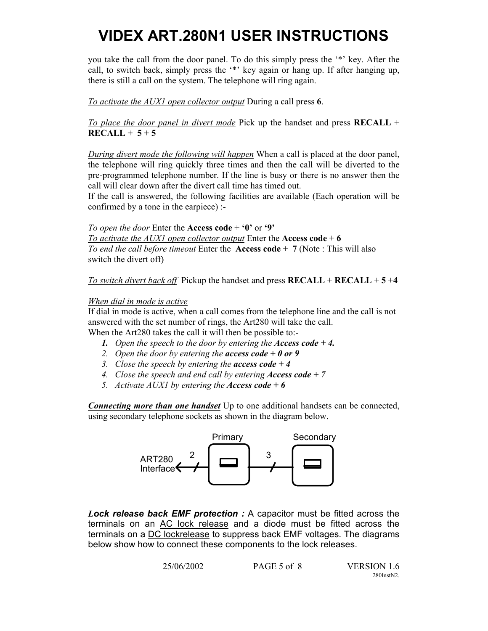you take the call from the door panel. To do this simply press the '\*' key. After the call, to switch back, simply press the '\*' key again or hang up. If after hanging up, there is still a call on the system. The telephone will ring again.

*To activate the AUX1 open collector output* During a call press **6**.

*To place the door panel in divert mode* Pick up the handset and press **RECALL** +  $RECALL + 5 + 5$ 

*During divert mode the following will happen* When a call is placed at the door panel, the telephone will ring quickly three times and then the call will be diverted to the pre-programmed telephone number. If the line is busy or there is no answer then the call will clear down after the divert call time has timed out.

If the call is answered, the following facilities are available (Each operation will be confirmed by a tone in the earpiece) :-

*To open the door* Enter the **Access code** + **'0'** or **'9'** *To activate the AUX1 open collector output* Enter the **Access code**  $+ 6$ *To end the call before timeout* Enter the **Access code** + **7** (Note : This will also switch the divert off)

*To switch divert back off* Pickup the handset and press **RECALL** + **RECALL** + **5** +**4** 

### *When dial in mode is active*

If dial in mode is active, when a call comes from the telephone line and the call is not answered with the set number of rings, the Art280 will take the call.

When the Art280 takes the call it will then be possible to:-

- *1. Open the speech to the door by entering the Access code + 4.*
- *2. Open the door by entering the access code + 0 or 9*
- *3. Close the speech by entering the access code + 4*
- *4. Close the speech and end call by entering Access code + 7*
- *5. Activate AUX1 by entering the Access code + 6*

*Connecting more than one handset* Up to one additional handsets can be connected, using secondary telephone sockets as shown in the diagram below.



*Lock release back EMF protection :* A capacitor must be fitted across the terminals on an AC lock release and a diode must be fitted across the terminals on a DC lockrelease to suppress back EMF voltages. The diagrams below show how to connect these components to the lock releases.

| 25/06/2002 | PAGE 5 of 8 | <b>VERSION 1.6</b> |
|------------|-------------|--------------------|
|            |             | 280InstN2          |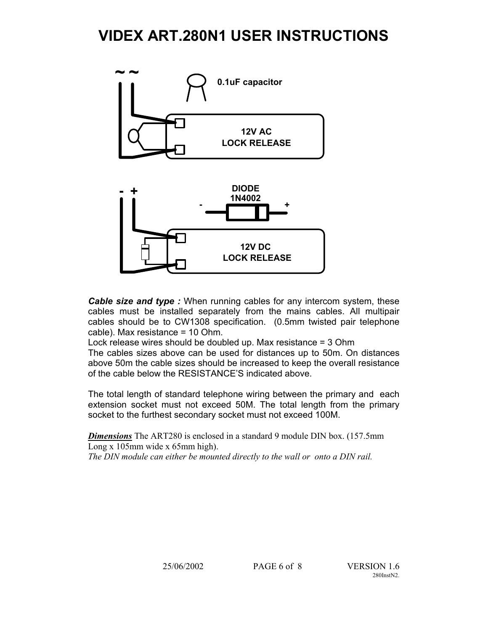

*Cable size and type :* When running cables for any intercom system, these cables must be installed separately from the mains cables. All multipair cables should be to CW1308 specification. (0.5mm twisted pair telephone cable). Max resistance = 10 Ohm.

Lock release wires should be doubled up. Max resistance = 3 Ohm

The cables sizes above can be used for distances up to 50m. On distances above 50m the cable sizes should be increased to keep the overall resistance of the cable below the RESISTANCE'S indicated above.

The total length of standard telephone wiring between the primary and each extension socket must not exceed 50M. The total length from the primary socket to the furthest secondary socket must not exceed 100M.

*Dimensions* The ART280 is enclosed in a standard 9 module DIN box. (157.5mm Long x 105mm wide x 65mm high).

*The DIN module can either be mounted directly to the wall or onto a DIN rail.*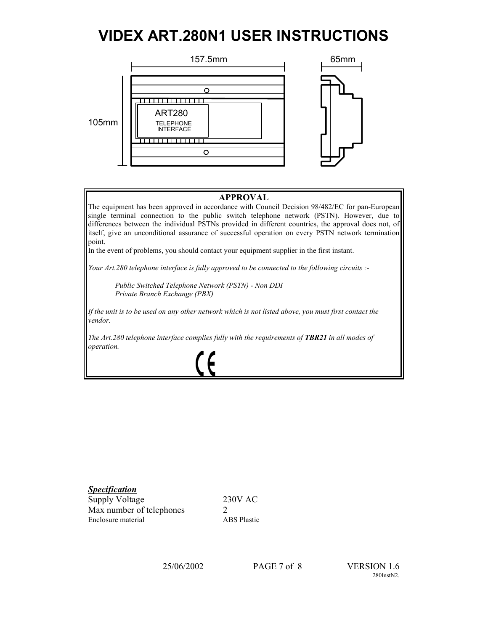

### **APPROVAL**

The equipment has been approved in accordance with Council Decision 98/482/EC for pan-European single terminal connection to the public switch telephone network (PSTN). However, due to differences between the individual PSTNs provided in different countries, the approval does not, of itself, give an unconditional assurance of successful operation on every PSTN network termination point.

In the event of problems, you should contact your equipment supplier in the first instant.

*Your Art.280 telephone interface is fully approved to be connected to the following circuits :-* 

 *Public Switched Telephone Network (PSTN) - Non DDI Private Branch Exchange (PBX)* 

*If the unit is to be used on any other network which is not listed above, you must first contact the vendor.* 

*The Art.280 telephone interface complies fully with the requirements of TBR21 in all modes of operation.*

## *Specification*

 $\overline{a}$ 

Supply Voltage 230V AC Max number of telephones 2 Enclosure material ABS Plastic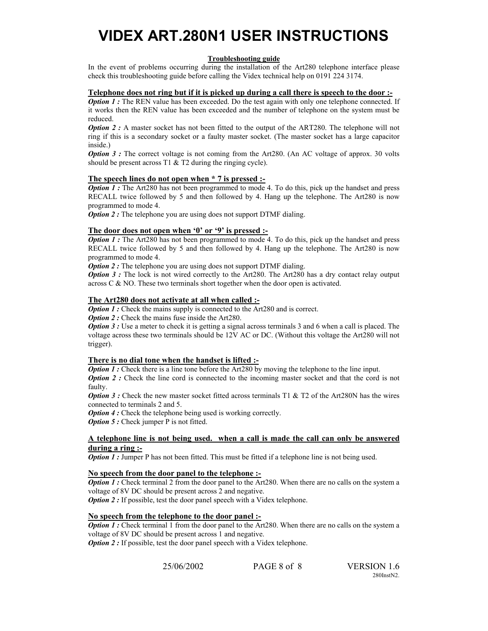#### **Troubleshooting guide**

In the event of problems occurring during the installation of the Art280 telephone interface please check this troubleshooting guide before calling the Videx technical help on 0191 224 3174.

### **Telephone does not ring but if it is picked up during a call there is speech to the door :-**

*Option 1*: The REN value has been exceeded. Do the test again with only one telephone connected. If it works then the REN value has been exceeded and the number of telephone on the system must be reduced.

*Option 2 :* A master socket has not been fitted to the output of the ART280. The telephone will not ring if this is a secondary socket or a faulty master socket. (The master socket has a large capacitor inside.)

*Option 3 :* The correct voltage is not coming from the Art280. (An AC voltage of approx. 30 volts should be present across T1 & T2 during the ringing cycle).

### **The speech lines do not open when \* 7 is pressed :-**

*Option 1* : The Art280 has not been programmed to mode 4. To do this, pick up the handset and press RECALL twice followed by 5 and then followed by 4. Hang up the telephone. The Art280 is now programmed to mode 4.

*Option 2*: The telephone you are using does not support DTMF dialing.

### **The door does not open when '0' or '9' is pressed :-**

*Option 1*: The Art280 has not been programmed to mode 4. To do this, pick up the handset and press RECALL twice followed by 5 and then followed by 4. Hang up the telephone. The Art280 is now programmed to mode 4.

*Option 2*: The telephone you are using does not support DTMF dialing.

*Option 3 :* The lock is not wired correctly to the Art280. The Art280 has a dry contact relay output across C & NO. These two terminals short together when the door open is activated.

### **The Art280 does not activate at all when called :-**

*Option 1*: Check the mains supply is connected to the Art280 and is correct.

*Option 2 :* Check the mains fuse inside the Art280.

*Option 3 :* Use a meter to check it is getting a signal across terminals 3 and 6 when a call is placed. The voltage across these two terminals should be 12V AC or DC. (Without this voltage the Art280 will not trigger).

#### **There is no dial tone when the handset is lifted :-**

*Option 1 :* Check there is a line tone before the Art280 by moving the telephone to the line input.

*Option 2 :* Check the line cord is connected to the incoming master socket and that the cord is not faulty.

*Option 3 :* Check the new master socket fitted across terminals T1 & T2 of the Art280N has the wires connected to terminals 2 and 5.

*Option 4 :* Check the telephone being used is working correctly.

*Option 5 :* Check jumper P is not fitted.

#### **A telephone line is not being used. when a call is made the call can only be answered during a ring :-**

*Option 1 :* Jumper P has not been fitted. This must be fitted if a telephone line is not being used.

#### **No speech from the door panel to the telephone :-**

**Option 1 :** Check terminal 2 from the door panel to the Art280. When there are no calls on the system a voltage of 8V DC should be present across 2 and negative.

*Option 2*: If possible, test the door panel speech with a Videx telephone.

### **No speech from the telephone to the door panel :-**

*Option 1*: Check terminal 1 from the door panel to the Art280. When there are no calls on the system a voltage of 8V DC should be present across 1 and negative. *Option 2 :* If possible, test the door panel speech with a Videx telephone.

25/06/2002 PAGE 8 of 8 VERSION 1.6

280InstN2.